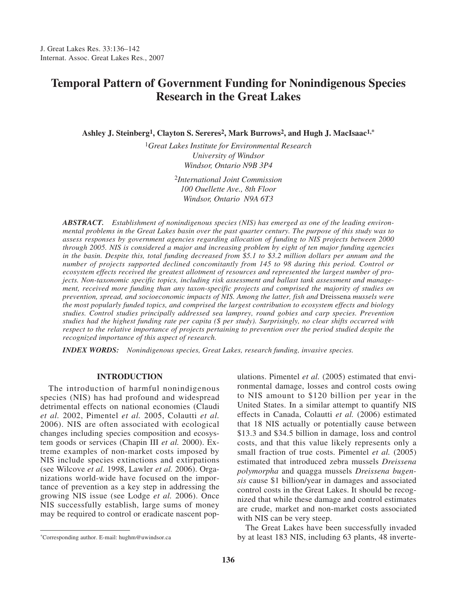# **Temporal Pattern of Government Funding for Nonindigenous Species Research in the Great Lakes**

**Ashley J. Steinberg1, Clayton S. Sereres2, Mark Burrows2, and Hugh J. MacIsaac1,\***

1*Great Lakes Institute for Environmental Research University of Windsor Windsor, Ontario N9B 3P4*

> 2*International Joint Commission 100 Ouellette Ave., 8th Floor Windsor, Ontario N9A 6T3*

*ABSTRACT. Establishment of nonindigenous species (NIS) has emerged as one of the leading environmental problems in the Great Lakes basin over the past quarter century. The purpose of this study was to assess responses by government agencies regarding allocation of funding to NIS projects between 2000 through 2005. NIS is considered a major and increasing problem by eight of ten major funding agencies in the basin. Despite this, total funding decreased from \$5.1 to \$3.2 million dollars per annum and the number of projects supported declined concomitantly from 145 to 98 during this period. Control or ecosystem effects received the greatest allotment of resources and represented the largest number of projects. Non-taxonomic specific topics, including risk assessment and ballast tank assessment and management, received more funding than any taxon-specific projects and comprised the majority of studies on prevention, spread, and socioeconomic impacts of NIS. Among the latter, fish and* Dreissena *mussels were the most popularly funded topics, and comprised the largest contribution to ecosystem effects and biology studies. Control studies principally addressed sea lamprey, round gobies and carp species. Prevention studies had the highest funding rate per capita (\$ per study). Surprisingly, no clear shifts occurred with respect to the relative importance of projects pertaining to prevention over the period studied despite the recognized importance of this aspect of research.* 

*INDEX WORDS: Nonindigenous species, Great Lakes, research funding, invasive species.* 

## **INTRODUCTION**

The introduction of harmful nonindigenous species (NIS) has had profound and widespread detrimental effects on national economies (Claudi *et al.* 2002, Pimentel *et al.* 2005, Colautti *et al.* 2006). NIS are often associated with ecological changes including species composition and ecosystem goods or services (Chapin III *et al.* 2000). Extreme examples of non-market costs imposed by NIS include species extinctions and extirpations (see Wilcove *et al.* 1998, Lawler *et al.* 2006). Organizations world-wide have focused on the importance of prevention as a key step in addressing the growing NIS issue (see Lodge *et al.* 2006). Once NIS successfully establish, large sums of money may be required to control or eradicate nascent pop-

\*Corresponding author. E-mail: hughm@uwindsor.ca

ulations. Pimentel *et al.* (2005) estimated that environmental damage, losses and control costs owing to NIS amount to \$120 billion per year in the United States. In a similar attempt to quantify NIS effects in Canada, Colautti *et al.* (2006) estimated that 18 NIS actually or potentially cause between \$13.3 and \$34.5 billion in damage, loss and control costs, and that this value likely represents only a small fraction of true costs. Pimentel *et al.* (2005) estimated that introduced zebra mussels *Dreissena polymorpha* and quagga mussels *Dreissena bugensis* cause \$1 billion/year in damages and associated control costs in the Great Lakes. It should be recognized that while these damage and control estimates are crude, market and non-market costs associated with NIS can be very steep.

The Great Lakes have been successfully invaded by at least 183 NIS, including 63 plants, 48 inverte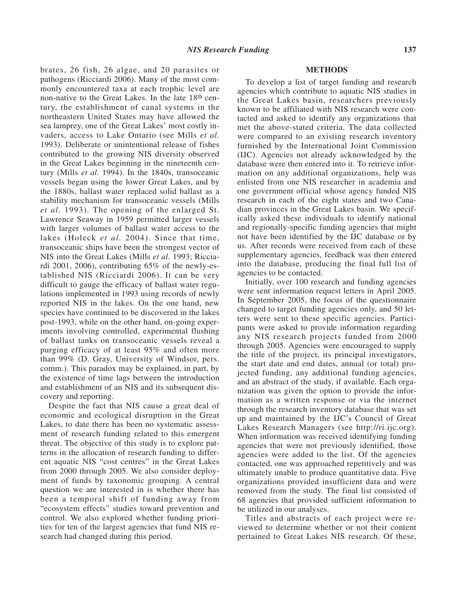brates, 26 fish, 26 algae, and 20 parasites or pathogens (Ricciardi 2006). Many of the most commonly encountered taxa at each trophic level are non-native to the Great Lakes. In the late 18th century, the establishment of canal systems in the northeastern United States may have allowed the sea lamprey, one of the Great Lakes' most costly invaders, access to Lake Ontario (see Mills *et al.* 1993). Deliberate or unintentional release of fishes contributed to the growing NIS diversity observed in the Great Lakes beginning in the nineteenth century (Mills *et al.* 1994). In the 1840s, transoceanic vessels began using the lower Great Lakes, and by the 1880s, ballast water replaced solid ballast as a stability mechanism for transoceanic vessels (Mills *et al.* 1993). The opening of the enlarged St. Lawrence Seaway in 1959 permitted larger vessels with larger volumes of ballast water access to the lakes (Holeck *et al.* 2004). Since that time, transoceanic ships have been the strongest vector of NIS into the Great Lakes (Mills *et al.* 1993; Ricciardi 2001, 2006), contributing 65% of the newly-established NIS (Ricciardi 2006). It can be very difficult to gauge the efficacy of ballast water regulations implemented in 1993 using records of newly reported NIS in the lakes. On the one hand, new species have continued to be discovered in the lakes post-1993, while on the other hand, on-going experiments involving controlled, experimental flushing of ballast tanks on transoceanic vessels reveal a purging efficacy of at least 95% and often more than 99% (D. Gray, University of Windsor, pers. comm.). This paradox may be explained, in part, by the existence of time lags between the introduction and establishment of an NIS and its subsequent discovery and reporting.

Despite the fact that NIS cause a great deal of economic and ecological disruption in the Great Lakes, to date there has been no systematic assessment of research funding related to this emergent threat. The objective of this study is to explore patterns in the allocation of research funding to different aquatic NIS "cost centres" in the Great Lakes from 2000 through 2005. We also consider deployment of funds by taxonomic grouping. A central question we are interested in is whether there has been a temporal shift of funding away from "ecosystem effects" studies toward prevention and control. We also explored whether funding priorities for ten of the largest agencies that fund NIS research had changed during this period.

#### **METHODS**

To develop a list of target funding and research agencies which contribute to aquatic NIS studies in the Great Lakes basin, researchers previously known to be affiliated with NIS research were contacted and asked to identify any organizations that met the above-stated criteria. The data collected were compared to an existing research inventory furnished by the International Joint Commission (IJC). Agencies not already acknowledged by the database were then entered into it. To retrieve information on any additional organizations, help was enlisted from one NIS researcher in academia and one government official whose agency funded NIS research in each of the eight states and two Canadian provinces in the Great Lakes basin. We specifically asked these individuals to identify national and regionally-specific funding agencies that might not have been identified by the IJC database or by us. After records were received from each of these supplementary agencies, feedback was then entered into the database, producing the final full list of agencies to be contacted.

Initially, over 100 research and funding agencies were sent information request letters in April 2005. In September 2005, the focus of the questionnaire changed to target funding agencies only, and 50 letters were sent to these specific agencies. Participants were asked to provide information regarding any NIS research projects funded from 2000 through 2005. Agencies were encouraged to supply the title of the project, its principal investigators, the start date and end dates, annual (or total) projected funding, any additional funding agencies, and an abstract of the study, if available. Each organization was given the option to provide the information as a written response or via the internet through the research inventory database that was set up and maintained by the IJC's Council of Great Lakes Research Managers (see http://ri.ijc.org). When information was received identifying funding agencies that were not previously identified, those agencies were added to the list. Of the agencies contacted, one was approached repetitively and was ultimately unable to produce quantitative data. Five organizations provided insufficient data and were removed from the study. The final list consisted of 68 agencies that provided sufficient information to be utilized in our analyses.

Titles and abstracts of each project were reviewed to determine whether or not their content pertained to Great Lakes NIS research. Of these,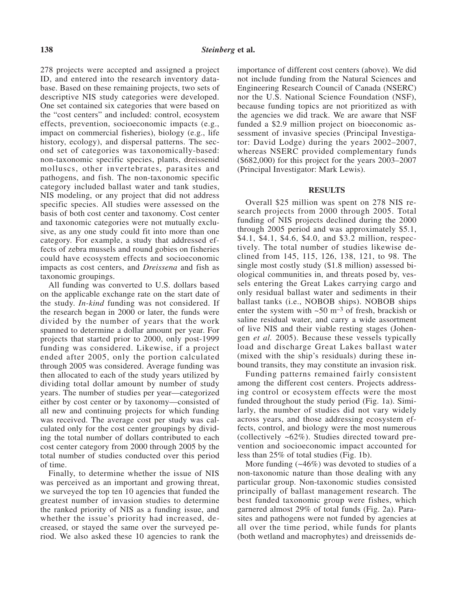278 projects were accepted and assigned a project ID, and entered into the research inventory database. Based on these remaining projects, two sets of descriptive NIS study categories were developed. One set contained six categories that were based on the "cost centers" and included: control, ecosystem effects, prevention, socioeconomic impacts (e.g., impact on commercial fisheries), biology (e.g., life history, ecology), and dispersal patterns. The second set of categories was taxonomically-based: non-taxonomic specific species, plants, dreissenid molluscs, other invertebrates, parasites and pathogens, and fish. The non-taxonomic specific category included ballast water and tank studies, NIS modeling, or any project that did not address specific species. All studies were assessed on the basis of both cost center and taxonomy. Cost center and taxonomic categories were not mutually exclusive, as any one study could fit into more than one category. For example, a study that addressed effects of zebra mussels and round gobies on fisheries could have ecosystem effects and socioeconomic impacts as cost centers, and *Dreissena* and fish as taxonomic groupings.

All funding was converted to U.S. dollars based on the applicable exchange rate on the start date of the study. *In-kind* funding was not considered. If the research began in 2000 or later, the funds were divided by the number of years that the work spanned to determine a dollar amount per year. For projects that started prior to 2000, only post-1999 funding was considered. Likewise, if a project ended after 2005, only the portion calculated through 2005 was considered. Average funding was then allocated to each of the study years utilized by dividing total dollar amount by number of study years. The number of studies per year—categorized either by cost center or by taxonomy—consisted of all new and continuing projects for which funding was received. The average cost per study was calculated only for the cost center groupings by dividing the total number of dollars contributed to each cost center category from 2000 through 2005 by the total number of studies conducted over this period of time.

Finally, to determine whether the issue of NIS was perceived as an important and growing threat, we surveyed the top ten 10 agencies that funded the greatest number of invasion studies to determine the ranked priority of NIS as a funding issue, and whether the issue's priority had increased, decreased, or stayed the same over the surveyed period. We also asked these 10 agencies to rank the

importance of different cost centers (above). We did not include funding from the Natural Sciences and Engineering Research Council of Canada (NSERC) nor the U.S. National Science Foundation (NSF), because funding topics are not prioritized as with the agencies we did track. We are aware that NSF funded a \$2.9 million project on bioeconomic assessment of invasive species (Principal Investigator: David Lodge) during the years 2002–2007, whereas NSERC provided complementary funds (\$682,000) for this project for the years 2003–2007 (Principal Investigator: Mark Lewis).

#### **RESULTS**

Overall \$25 million was spent on 278 NIS research projects from 2000 through 2005. Total funding of NIS projects declined during the 2000 through 2005 period and was approximately \$5.1, \$4.1, \$4.1, \$4.6, \$4.0, and \$3.2 million, respectively. The total number of studies likewise declined from 145, 115, 126, 138, 121, to 98. The single most costly study (\$1.8 million) assessed biological communities in, and threats posed by, vessels entering the Great Lakes carrying cargo and only residual ballast water and sediments in their ballast tanks (i.e., NOBOB ships). NOBOB ships enter the system with  $\sim 50$  m<sup>-3</sup> of fresh, brackish or saline residual water, and carry a wide assortment of live NIS and their viable resting stages (Johengen *et al.* 2005). Because these vessels typically load and discharge Great Lakes ballast water (mixed with the ship's residuals) during these inbound transits, they may constitute an invasion risk.

Funding patterns remained fairly consistent among the different cost centers. Projects addressing control or ecosystem effects were the most funded throughout the study period (Fig. 1a). Similarly, the number of studies did not vary widely across years, and those addressing ecosystem effects, control, and biology were the most numerous (collectively ~62%). Studies directed toward prevention and socioeconomic impact accounted for less than 25% of total studies (Fig. 1b).

More funding (~46%) was devoted to studies of a non-taxonomic nature than those dealing with any particular group. Non-taxonomic studies consisted principally of ballast management research. The best funded taxonomic group were fishes, which garnered almost 29% of total funds (Fig. 2a). Parasites and pathogens were not funded by agencies at all over the time period, while funds for plants (both wetland and macrophytes) and dreissenids de-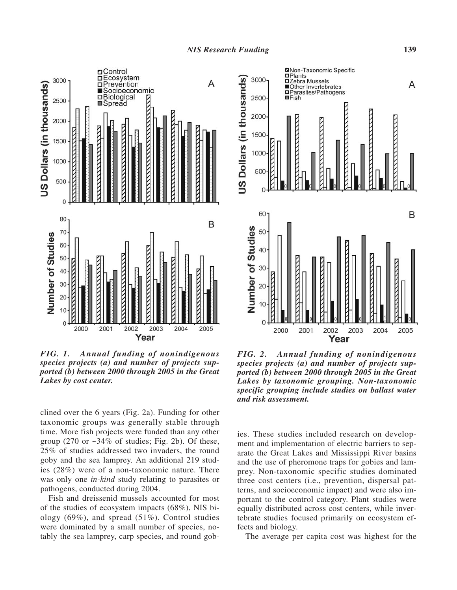

*FIG. 1. Annual funding of nonindigenous species projects (a) and number of projects supported (b) between 2000 through 2005 in the Great Lakes by cost center.* 

clined over the 6 years (Fig. 2a). Funding for other taxonomic groups was generally stable through time. More fish projects were funded than any other group  $(270 \text{ or } -34\% \text{ of studies}; \text{Fig. 2b})$ . Of these, 25% of studies addressed two invaders, the round goby and the sea lamprey. An additional 219 studies (28%) were of a non-taxonomic nature. There was only one *in-kind* study relating to parasites or pathogens, conducted during 2004.

Fish and dreissenid mussels accounted for most of the studies of ecosystem impacts (68%), NIS biology (69%), and spread (51%). Control studies were dominated by a small number of species, notably the sea lamprey, carp species, and round gob-



*FIG. 2. Annual funding of nonindigenous species projects (a) and number of projects supported (b) between 2000 through 2005 in the Great Lakes by taxonomic grouping. Non-taxonomic specific grouping include studies on ballast water and risk assessment.*

ies. These studies included research on development and implementation of electric barriers to separate the Great Lakes and Mississippi River basins and the use of pheromone traps for gobies and lamprey. Non-taxonomic specific studies dominated three cost centers (i.e., prevention, dispersal patterns, and socioeconomic impact) and were also important to the control category. Plant studies were equally distributed across cost centers, while invertebrate studies focused primarily on ecosystem effects and biology.

The average per capita cost was highest for the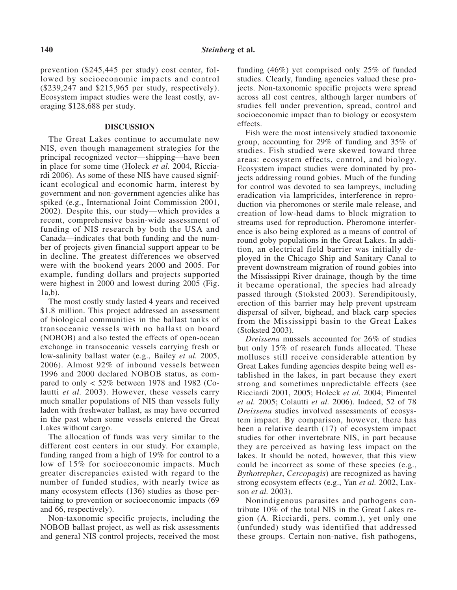prevention (\$245,445 per study) cost center, followed by socioeconomic impacts and control (\$239,247 and \$215,965 per study, respectively). Ecosystem impact studies were the least costly, averaging \$128,688 per study.

### **DISCUSSION**

The Great Lakes continue to accumulate new NIS, even though management strategies for the principal recognized vector—shipping—have been in place for some time (Holeck *et al.* 2004, Ricciardi 2006). As some of these NIS have caused significant ecological and economic harm, interest by government and non-government agencies alike has spiked (e.g., International Joint Commission 2001, 2002). Despite this, our study—which provides a recent, comprehensive basin-wide assessment of funding of NIS research by both the USA and Canada—indicates that both funding and the number of projects given financial support appear to be in decline. The greatest differences we observed were with the bookend years 2000 and 2005. For example, funding dollars and projects supported were highest in 2000 and lowest during 2005 (Fig.  $1a,b)$ .

The most costly study lasted 4 years and received \$1.8 million. This project addressed an assessment of biological communities in the ballast tanks of transoceanic vessels with no ballast on board (NOBOB) and also tested the effects of open-ocean exchange in transoceanic vessels carrying fresh or low-salinity ballast water (e.g., Bailey *et al.* 2005, 2006). Almost 92% of inbound vessels between 1996 and 2000 declared NOBOB status, as compared to only  $< 52\%$  between 1978 and 1982 (Colautti *et al.* 2003). However, these vessels carry much smaller populations of NIS than vessels fully laden with freshwater ballast, as may have occurred in the past when some vessels entered the Great Lakes without cargo.

The allocation of funds was very similar to the different cost centers in our study. For example, funding ranged from a high of 19% for control to a low of 15% for socioeconomic impacts. Much greater discrepancies existed with regard to the number of funded studies, with nearly twice as many ecosystem effects (136) studies as those pertaining to prevention or socioeconomic impacts (69 and 66, respectively).

Non-taxonomic specific projects, including the NOBOB ballast project, as well as risk assessments and general NIS control projects, received the most

funding (46%) yet comprised only 25% of funded studies. Clearly, funding agencies valued these projects. Non-taxonomic specific projects were spread across all cost centres, although larger numbers of studies fell under prevention, spread, control and socioeconomic impact than to biology or ecosystem effects.

Fish were the most intensively studied taxonomic group, accounting for 29% of funding and 35% of studies. Fish studied were skewed toward three areas: ecosystem effects, control, and biology. Ecosystem impact studies were dominated by projects addressing round gobies. Much of the funding for control was devoted to sea lampreys, including eradication via lampricides, interference in reproduction via pheromones or sterile male release, and creation of low-head dams to block migration to streams used for reproduction. Pheromone interference is also being explored as a means of control of round goby populations in the Great Lakes. In addition, an electrical field barrier was initially deployed in the Chicago Ship and Sanitary Canal to prevent downstream migration of round gobies into the Mississippi River drainage, though by the time it became operational, the species had already passed through (Stoksted 2003). Serendipitously, erection of this barrier may help prevent upstream dispersal of silver, bighead, and black carp species from the Mississippi basin to the Great Lakes (Stoksted 2003).

*Dreissena* mussels accounted for 26% of studies but only 15% of research funds allocated. These molluscs still receive considerable attention by Great Lakes funding agencies despite being well established in the lakes, in part because they exert strong and sometimes unpredictable effects (see Ricciardi 2001, 2005; Holeck *et al.* 2004; Pimentel *et al.* 2005; Colautti *et al.* 2006). Indeed, 52 of 78 *Dreissena* studies involved assessments of ecosystem impact. By comparison, however, there has been a relative dearth (17) of ecosystem impact studies for other invertebrate NIS, in part because they are perceived as having less impact on the lakes. It should be noted, however, that this view could be incorrect as some of these species (e.g., *Bythotrephes*, *Cercopagis*) are recognized as having strong ecosystem effects (e.g., Yan *et al.* 2002, Laxson *et al.* 2003).

Nonindigenous parasites and pathogens contribute 10% of the total NIS in the Great Lakes region (A. Ricciardi, pers. comm.), yet only one (unfunded) study was identified that addressed these groups. Certain non-native, fish pathogens,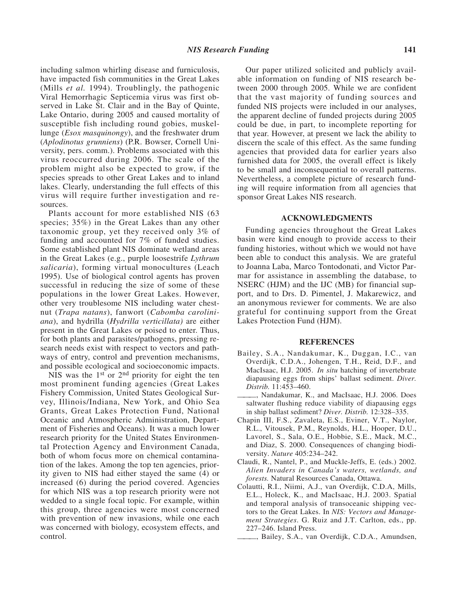including salmon whirling disease and furniculosis, have impacted fish communities in the Great Lakes (Mills *et al.* 1994). Troublingly, the pathogenic Viral Hemorrhagic Septicemia virus was first observed in Lake St. Clair and in the Bay of Quinte, Lake Ontario, during 2005 and caused mortality of susceptible fish including round gobies, muskellunge (*Esox masquinongy*), and the freshwater drum (*Aplodinotus grunniens*) (P.R. Bowser, Cornell University, pers. comm.). Problems associated with this virus reoccurred during 2006. The scale of the problem might also be expected to grow, if the species spreads to other Great Lakes and to inland lakes. Clearly, understanding the full effects of this virus will require further investigation and resources.

Plants account for more established NIS (63 species; 35%) in the Great Lakes than any other taxonomic group, yet they received only 3% of funding and accounted for 7% of funded studies. Some established plant NIS dominate wetland areas in the Great Lakes (e.g., purple loosestrife *Lythrum salicaria*), forming virtual monocultures (Leach 1995). Use of biological control agents has proven successful in reducing the size of some of these populations in the lower Great Lakes. However, other very troublesome NIS including water chestnut (*Trapa natans*), fanwort (*Cabomba caroliniana*), and hydrilla (*Hydrilla verticillata)* are either present in the Great Lakes or poised to enter. Thus, for both plants and parasites/pathogens, pressing research needs exist with respect to vectors and pathways of entry, control and prevention mechanisms, and possible ecological and socioeconomic impacts.

NIS was the  $1<sup>st</sup>$  or  $2<sup>nd</sup>$  priority for eight the ten most prominent funding agencies (Great Lakes Fishery Commission, United States Geological Survey, Illinois/Indiana, New York, and Ohio Sea Grants, Great Lakes Protection Fund, National Oceanic and Atmospheric Administration, Department of Fisheries and Oceans). It was a much lower research priority for the United States Environmental Protection Agency and Environment Canada, both of whom focus more on chemical contamination of the lakes. Among the top ten agencies, priority given to NIS had either stayed the same (4) or increased (6) during the period covered. Agencies for which NIS was a top research priority were not wedded to a single focal topic. For example, within this group, three agencies were most concerned with prevention of new invasions, while one each was concerned with biology, ecosystem effects, and control.

Our paper utilized solicited and publicly available information on funding of NIS research between 2000 through 2005. While we are confident that the vast majority of funding sources and funded NIS projects were included in our analyses, the apparent decline of funded projects during 2005 could be due, in part, to incomplete reporting for that year. However, at present we lack the ability to discern the scale of this effect. As the same funding agencies that provided data for earlier years also furnished data for 2005, the overall effect is likely to be small and inconsequential to overall patterns. Nevertheless, a complete picture of research funding will require information from all agencies that sponsor Great Lakes NIS research.

### **ACKNOWLEDGMENTS**

Funding agencies throughout the Great Lakes basin were kind enough to provide access to their funding histories, without which we would not have been able to conduct this analysis. We are grateful to Joanna Laba, Marco Tontodonati, and Victor Parmar for assistance in assembling the database, to NSERC (HJM) and the IJC (MB) for financial support, and to Drs. D. Pimentel, J. Makarewicz, and an anonymous reviewer for comments. We are also grateful for continuing support from the Great Lakes Protection Fund (HJM).

#### **REFERENCES**

- Bailey, S.A., Nandakumar, K., Duggan, I.C., van Overdijk, C.D.A., Johengen, T.H., Reid, D.F., and MacIsaac, H.J. 2005. *In situ* hatching of invertebrate diapausing eggs from ships' ballast sediment. *Diver. Distrib.* 11:453–460.
- , Nandakumar, K., and MacIsaac, H.J. 2006. Does saltwater flushing reduce viability of diapausing eggs in ship ballast sediment? *Diver. Distrib.* 12:328–335.
- Chapin III, F.S., Zavaleta, E.S., Eviner, V.T., Naylor, R.L., Vitousek, P.M., Reynolds, H.L., Hooper, D.U., Lavorel, S., Sala, O.E., Hobbie, S.E., Mack, M.C., and Diaz, S. 2000. Consequences of changing biodiversity. *Nature* 405:234–242.
- Claudi, R., Nantel, P., and Muckle-Jeffs, E. (eds.) 2002. *Alien Invaders in Canada's waters, wetlands, and forests.* Natural Resources Canada, Ottawa.
- Colautti, R.I., Niimi, A.J., van Overdijk, C.D.A, Mills, E.L., Holeck, K., and MacIsaac, H.J. 2003. Spatial and temporal analysis of transoceanic shipping vectors to the Great Lakes. In *NIS: Vectors and Management Strategies*. G. Ruiz and J.T. Carlton, eds., pp. 227–246. Island Press.
- ———, Bailey, S.A., van Overdijk, C.D.A., Amundsen,